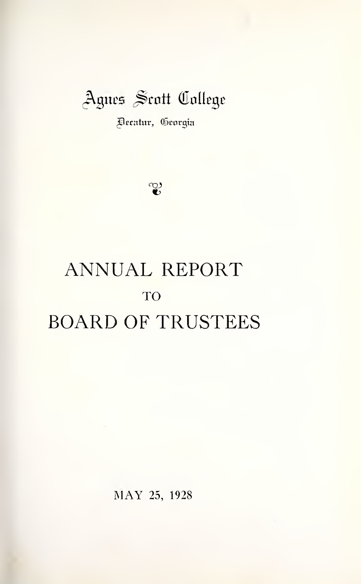# Agnes Scott College

^ecaiur, (Srorgta

 $\mathfrak{C}$ 

# ANNUAL REPORT TO BOARD OF TRUSTEES

MAY 25, <sup>1928</sup>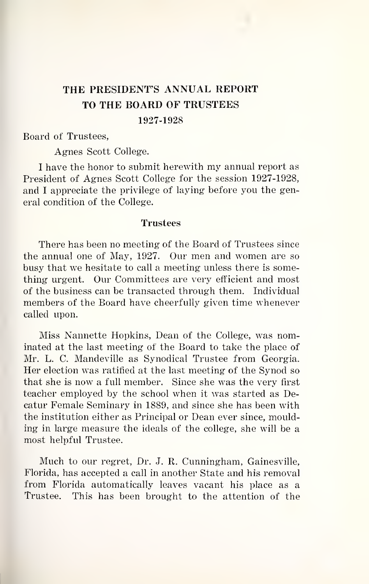# THE PRESIDENT'S ANNUAL REPORT TO THE BOARD OF TRUSTEES 1927-1928

Board of Trustees,

Agnes Scott College.

<sup>I</sup> have the honor to submit herewith my annual report as President of Agnes Scott College for the session 1927-1928, and <sup>I</sup> appreciate the privilege of laying before you the general condition of the College.

### Trustees

There has been no meeting of the Board of Trustees since the annual one of May, 1927. Our men and women are so busy that we hesitate to call a meeting unless there is something urgent. Our Committees are very efficient and most of the business can be transacted through them. Individual members of the Board have cheerfully given time whenever called upon.

Miss Nannette Hopkins, Dean of the College, was nominated at the last meeting of the Board to take the place of Mr. L. C. Mandeville as Synodical Trustee from Georgia. Her election was ratified at the last meeting of the Synod so that she is now a full member. Since she was the very first teacher employed by the school when itwas started as Decatur Female Seminary in 1889, and since she has been with the institution either as Principal or Dean ever since, moulding in large measure the ideals of the college, she will be a most helpful Trustee.

Much to our regret, Dr. J. R. Cunningham, Gainesville, Florida, has accepted a call in another State and his removal from Florida automatically leaves vacant his place as a Trustee. This has been brought to the attention of the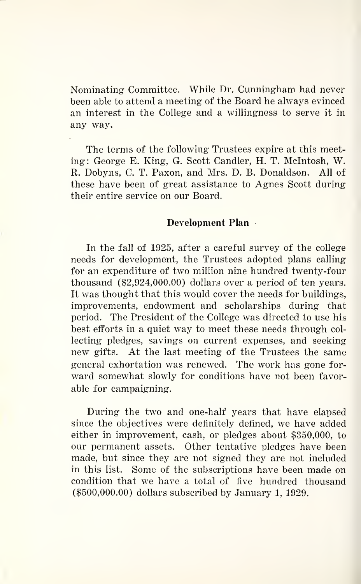Nominating Committee. While Dr. Cunningham had never been able to attend a meeting of the Board he always evinced an interest in the College and a willingness to serve it in any way.

The terms of the following Trustees expire at this meeting: George E. King, G. Scott Candler, H. T. Mcintosh, W. R. Dobyns, C. T. Paxon, and Mrs. D. B. Donaldson. All of these have been of great assistance to Agnes Scott during their entire service on our Board.

### Development Plan

In the fall of 1925, after a careful survey of the college needs for development, the Trustees adopted plans calling for an expenditure of two million nine hundred twenty-four thousand (\$2,924,000.00) dollars over a period of ten years. It was thought that this would cover the needs for buildings, improvements, endowment and scholarships during that period. The President of the College was directed to use his best efforts in a quiet way to meet these needs through col lecting pledges, savings on current expenses, and seeking new gifts. At the last meeting of the Trustees the same general exhortation was renewed. The work has gone for ward somewhat slowly for conditions have not been favorable for campaigning.

During the two and one-half years that have elapsed since the objectives were definitely defined, we have added either in improvement, cash, or pledges about \$350,000, to our permanent assets. Other tentative pledges have been made, but since they are not signed they are not included in this list. Some of the subscriptions have been made on condition that we have a total of five hundred thousand (\$500,000.00) dollars subscribed by January 1, 1929.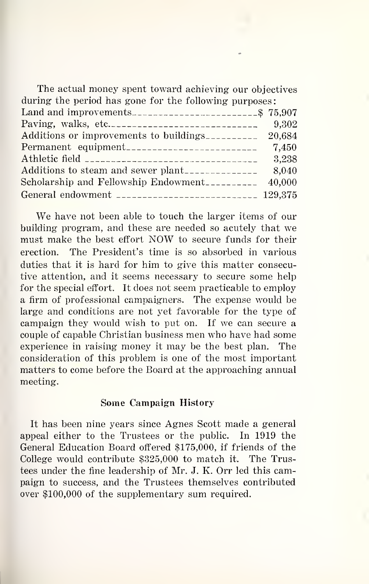| The actual money spent toward achieving our objectives |  |
|--------------------------------------------------------|--|
| during the period has gone for the following purposes: |  |
|                                                        |  |
| 9.302                                                  |  |
| Additions or improvements to buildings                 |  |
| Permanent equipment<br>7.450                           |  |
| 3.238                                                  |  |
|                                                        |  |
| Scholarship and Fellowship Endowment<br>40,000         |  |
| General endowment __________________________ 129,375   |  |

We have not been able to touch the larger items of our building program, and these are needed so acutely that we must make the best effort NOW to secure funds for their erection. The President's time is so absorbed in various duties that it is hard for him to give this matter consecutive attention, and it seems necessary to secure some help for the special effort. It does not seem practicable to employ a firm of professional campaigners. The expense would be large and conditions are not yet favorable for the type of campaign they would wish to put on. If we can secure a couple of capable Christian business men who have had some experience in raising money it may be the best plan. The consideration of this problem is one of the most important matters to come before the Board at the approaching annual meeting.

#### Some Campaign History

It has been nine years since Agnes Scott made a general appeal either to the Trustees or the public. In 1919 the General Education Board offered \$175,000, if friends of the College would contribute \$325,000 to match it. The Trustees under the fine leadership of Mr. J. K. Orr led this campaign to success, and the Trustees themselves contributed over \$100,000 of the supplementary sum required.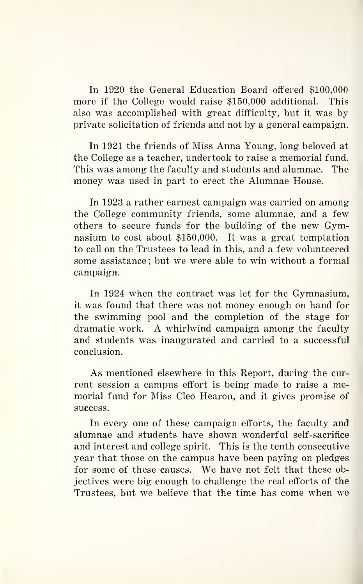In 1920 the General Education Board offered \$100,000<br>The if the College would raise \$150,000 additional. This more if the College would raise \$150,000 additional. also was accomplished with great difficulty, but it was by private solicitation of friends and not by a general campaign.

In 1921 the friends of Miss Anna Young, long beloved at the College as a teacher, undertook to raise a memorial fund. This was among the faculty and students and alumnae. The money was used in part to erect the Alumnae House.

In 1923 a rather earnest campaign was carried on among the College community friends, some alumnae, and a few others to secure funds for the building of the new Gymnasium to cost about \$150,000. It was a great temptation to call on the Trustees to lead in this, and a few volunteered some assistance; but we were able to win without a formal campaign.

In 1924 when the contract was let for the Gymnasium, it was found that there was not money enough on hand for the swimming pool and the completion of the stage for dramatic work. A whirlwind campaign among the faculty and students was inaugurated and carried to a successful conclusion.

As mentioned elsewhere in this Report, during the cur rent session a campus effort is being made to raise a memorial fund for Miss Cleo Hearon, and it gives promise of success.

In every one of these campaign efforts, the faculty and alumnae and students have shown wonderful self-sacrifice and interest and college spirit. This is the tenth consecutive year that those on the campus have been paying on pledges for some of these causes. We have not felt that these objectives were big enough to challenge the real efforts of the Trustees, but we believe that the time has come when we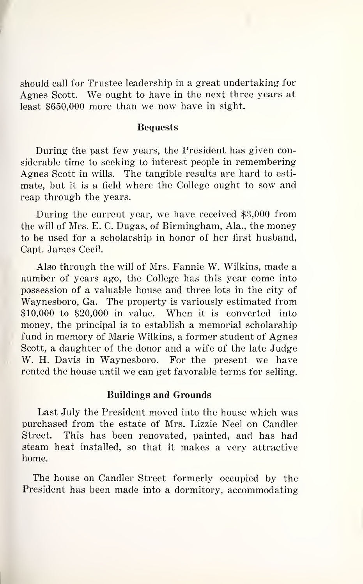should call for Trustee leadership in a great undertaking for Agnes Scott. We ought to have in the next three years at least \$650,000 more than we now have in sight.

## Bequests

During the past few years, the President has given considerable time to seeking to interest people in remembering Agnes Scott in wills. The tangible results are hard to esti mate, but it is a field where the College ought to sow and reap through the years.

During the current year, we have received \$3,000 from the will of Mrs. E. C. Dugas, of Birmingham, Ala., the money to be used for a scholarship in honor of her first husband, Capt. James Cecil.

Also through the will of Mrs. Fannie W. Wilkins, made a number of years ago, the College has this year come into possession of a valuable house and three lots in the city of Waynesboro, Ga. The property is variously estimated from \$10,000 to \$20,000 in value. When it is converted into money, the principal is to establish a memorial scholarship fund in memory of Marie Wilkins, a former student of Agnes Scott, a daughter of the donor and a wife of the late Judge W. H. Davis in Waynesboro. For the present we have rented the house until we can get favorable terms for selling.

#### Buildings and Grounds

Last July the President moved into the house which was purchased from the estate of Mrs. Lizzie Neel on Candler Street. This has been renovated, painted, and has had steam heat installed, so that it makes a very attractive home.

The house on Candler Street formerly occupied by the President has been made into a dormitory, accommodating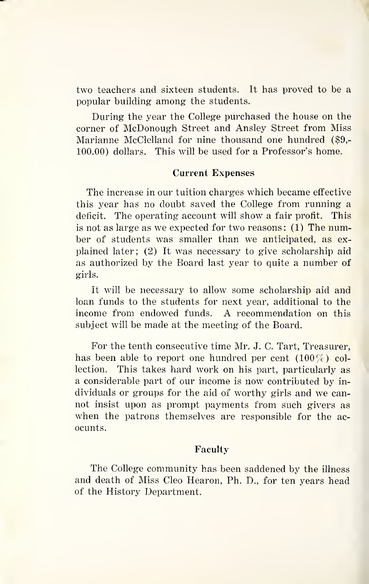two teachers and sixteen students. It has proved to be a popular building among the students.

During the year the College purchased the house on the corner of McDonough Street and Ansley Street from Miss Marianne McClelland for nine thousand one hundred (\$9,- 100.00) dollars. This will be used for a Professor's home.

#### Current Expenses

The increase in our tuition charges which became effective this year has no doubt saved the College from running a deficit. The operating account will show a fair profit. This is not as large as we expected for two reasons: (1) The number of students was smaller than we anticipated, as ex plained later; (2) It was necessary to give scholarship aid as authorized by the Board last year to quite a number of girls.

It will be necessary to allow some scholarship aid and loan funds to the students for next year, additional to the income from endowed funds. A recommendation on this subject will be made at the meeting of the Board.

For the tenth consecutive time Mr. J. C. Tart, Treasurer, has been able to report one hundred per cent  $(100\%)$  collection. This takes hard work on his part, particularly as a considerable part of our income is now contributed by in dividuals or groups for the aid of worthy girls and we can not insist upon as prompt payments from such givers as when the patrons themselves are responsible for the acocunts.

### Faculty

The College community has been saddened by the illness and death of Miss Cleo Hearon, Ph. D., for ten years head of the History Department.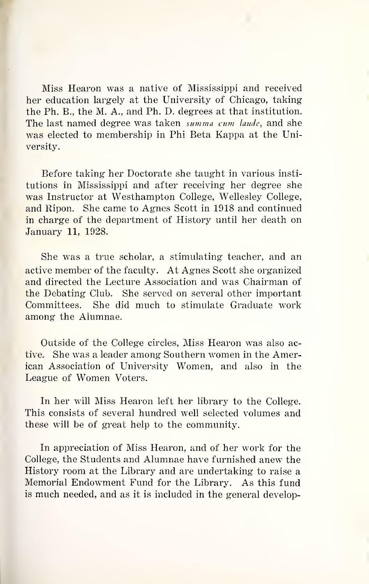Miss Hearon was a native of Mississippi and received her education largely at the University of Chicago, taking the Ph. B., the M. A., and Ph. D. degrees at that institution. The last named degree was taken summa cum laude, and she was elected to membership in Phi Beta Kappa at the University.

Before taking her Doctorate she taught in various insti tutions in Mississippi and after receiving her degree she was Instructor at Westhampton College, Wellesley College, and Ripon. She came to Agnes Scott in 1918 and continued in charge of the department of History until her death on January 11, 1928.

She was a true scholar, a stimulating teacher, and an active member of the faculty. At Agnes Scott she organized and directed the Lecture Association and was Chairman of the Debating Club. She served on several other important Committees. She did much to stimulate Graduate work among the Alumnae.

Outside of the College circles, Miss Hearon was also active. She was a leader among Southern women in the American Association of University Women, and also in the League of Women Voters.

In her will Miss Hearon left her library to the College. This consists of several hundred well selected volumes and these will be of great help to the community.

In appreciation of Miss Hearon, and of her work for the College, the Students and Alumnae have furnished anew the History room at the Library and are undertaking to raise a Memorial Endowment Fund for the Library. As this fund is much needed, and as it is included in the general develop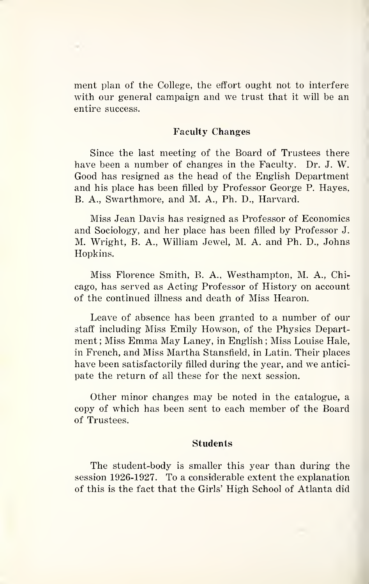ment plan of the College, the effort ought not to interfere with our general campaign and we trust that it will be an entire success.

#### Faculty Changes

Since the last meeting of the Board of Trustees there have been a number of changes in the Faculty. Dr. J. W. Good has resigned as the head of the English Department and his place has been filled by Professor George P. Hayes. B. A., Swarthmore, and M. A., Ph. D., Harvard.

Miss Jean Davis has resigned as Professor of Economics and Sociology, and her place has been filled by Professor J. M. Wright, B. A., William Jewel, M. A. and Ph. D., Johns Hopkins.

Miss Florence Smith, B. A., Westhampton, M. A., Chicago, has served as Acting Professor of History on account of the continued illness and death of Miss Hearon.

Leave of absence has been granted to a number of our staff including Miss Emily Howson, of the Physics Department; Miss Emma May Laney, in English; Miss Louise Hale, in French, and Miss Martha Stansfield, in Latin. Their places have been satisfactorily filled during the year, and we antici pate the return of all these for the next session.

Other minor changes may be noted in the catalogue, a copy of which has been sent to each member of the Board of Trustees.

#### Students

The student-body is smaller this year than during the session 1926-1927. To a considerable extent the explanation of this is the fact that the Girls' High School of Atlanta did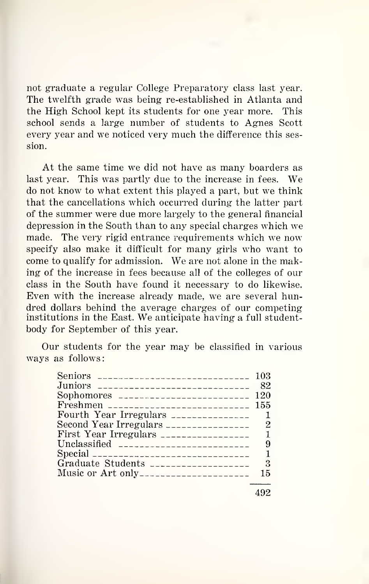not graduate a regular College Preparatory class last year. The twelfth grade was being re-established in Atlanta and the High School kept its students for one year more. This school sends a large number of students to Agnes Scott every year and we noticed very much the difference this session.

At the same time we did not have as many boarders as last year. This was partly due to the increase in fees. We do not know to what extent this played a part, but we think that the cancellations which occurred during the latter part of the summer were due more largely to the general financial depression in the South than to any special charges which we made. The very rigid entrance requirements which we now specify also make it difficult for many girls who want to come to qualify for admission. We are not alone in the making of the increase in fees because all of the colleges of our class in the South have found it necessary to do likewise. Even with the increase already made, we are several hundred dollars behind the average charges of our competing institutions in the East. We anticipate having <sup>a</sup> full studentbody for September of this year.

Our students for the year may be classified in various ways as follows:

| Seniors _______________________________ 103 |     |
|---------------------------------------------|-----|
| Juniors _____________________________       | 82  |
| Sophomores $\frac{1}{2}$                    |     |
| Freshmen ___________________________ 155    |     |
| Fourth Year Irregulars $\frac{1}{2}$        |     |
| Second Year Irregulars ________________     | 2   |
|                                             |     |
| Unclassified ____________________________   | 9   |
| Special _________________________________   |     |
|                                             | - 3 |
| Music or Art only-----------------------    | 15  |
|                                             |     |

492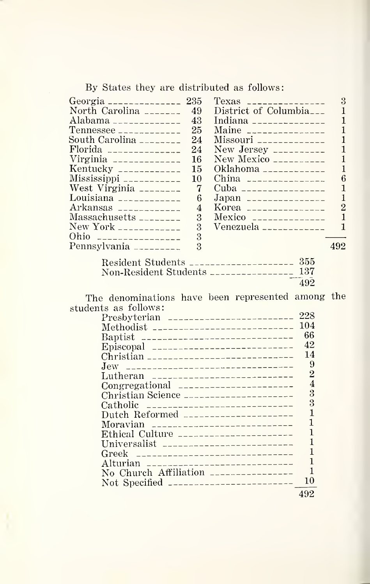By States they are distributed as follows:

| Georgia _______________ 235                       | 3<br>$Texas$ ________________                     |
|---------------------------------------------------|---------------------------------------------------|
| North Carolina $\frac{1}{2}$ = $\frac{1}{2}$ = 49 | District of Columbia <sub>---</sub><br>1          |
| Alabama _______________<br>43                     | Indiana _______________<br>1                      |
| $T$ ennessee _____________<br>25                  | 1<br>Maine $\frac{1}{2}$                          |
| South Carolina ________<br>24                     | $Missouri$ ______________                         |
| 24                                                | New Jersey $\frac{1}{2}$                          |
| Virginia ______________<br>16                     |                                                   |
| Kentucky _____________<br>15                      | Oklahoma _____________                            |
| Mississippi ____________<br>10                    | 6<br>China $\frac{1}{2}$                          |
| West Virginia $\frac{1}{2}$<br>7                  | 1<br>Cuba __________________                      |
| Louisiana _____________<br>6                      | $\mathbf{1}$<br>Japan _______________             |
| 4                                                 | Korea ________________                            |
| 3                                                 | $\mathbf{1}$<br>Mexico ________________           |
| New York _____________<br>3                       | Venezuela $\overline{\phantom{a}1}$<br>1          |
| Ohio -----------------<br>3                       |                                                   |
| Pennsylvania _________<br>$\mathbf{R}$            | 492                                               |
| Resident Students _____________________ 355       |                                                   |
| Non-Resident Students ________________ 137        |                                                   |
|                                                   | 492                                               |
|                                                   | The denominations have been represented among the |
| students as follows:                              |                                                   |
| Presbyterian _________________________ 228        |                                                   |
| Methodist ___________________________             | 104                                               |

| <u>Fresdy terrail ––––––––––––––––––––––––</u> |                |
|------------------------------------------------|----------------|
|                                                | 104            |
|                                                | 66             |
|                                                | 42             |
| Christian _____________________________        | 14             |
|                                                | 9              |
| Lutheran ---------------------------           | $\overline{2}$ |
| Congregational _______________________         | $\overline{4}$ |
|                                                | 3              |
| Catholic $\frac{1}{2}$                         | $\mathbf{R}$   |
| Dutch Reformed _____________________           |                |
|                                                |                |
| Ethical Culture ______________________         |                |
|                                                |                |
| Greek _________________________________        |                |
|                                                |                |
| No Church Affiliation ________________         |                |
|                                                | 10             |
|                                                | 492            |
|                                                |                |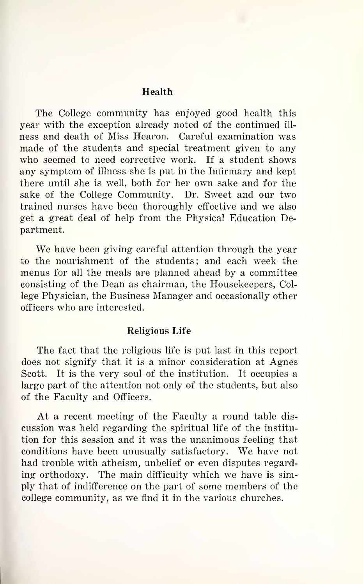#### Health

The College community has enjoyed good health this year with the exception already noted of the continued ill ness and death of Miss Hearon. Careful examination was made of the students and special treatment given to any who seemed to need corrective work. If a student shows any symptom of illness she is put in the Infirmary and kept there until she is well, both for her own sake and for the sake of the College Community. Dr. Sweet and our two trained nurses have been thoroughly effective and we also get a great deal of help from the Physical Education Department.

We have been giving careful attention through the year to the nourishment of the students; and each week the menus for all the meals are planned ahead by a committee consisting of the Dean as chairman, the Housekeepers, College Physician, the Business Manager and occasionally other officers who are interested.

#### Religious Life

The fact that the religious life is put last in this report does not signify that it is a minor consideration at Agnes Scott. It is the very soul of the institution. It occupies a large part of the attention not only of the students, but also of the Faculty and Officers.

At a recent meeting of the Faculty a round table dis cussion was held regarding the spiritual life of the institu tion for this session and it was the unanimous feeling that conditions have been unusually satisfactory. We have not had trouble with atheism, unbelief or even disputes regarding orthodoxy. The main difficulty which we have is simply that of indifference on the part of some members of the college community, as we find it in the various churches.